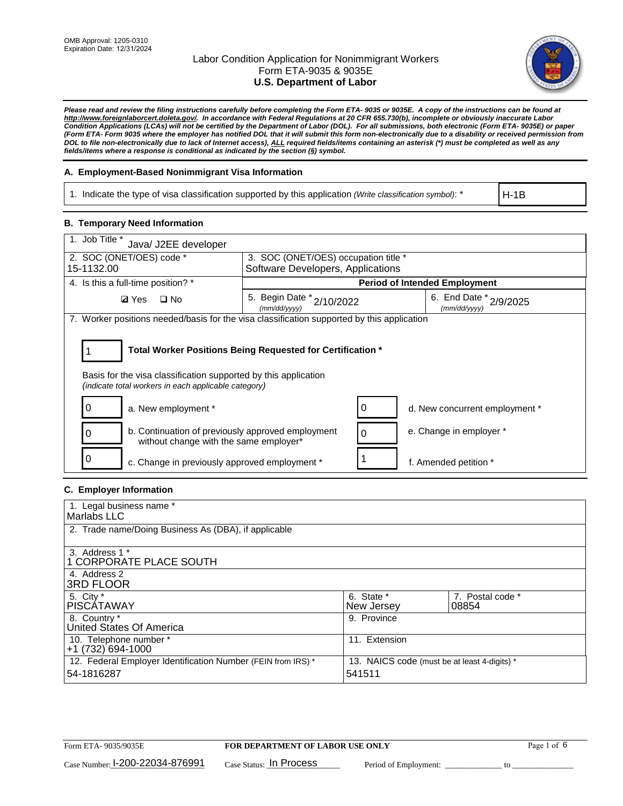

*Please read and review the filing instructions carefully before completing the Form ETA- 9035 or 9035E. A copy of the instructions can be found at http://www.foreignlaborcert.doleta.gov/. In accordance with Federal Regulations at 20 CFR 655.730(b), incomplete or obviously inaccurate Labor Condition Applications (LCAs) will not be certified by the Department of Labor (DOL). For all submissions, both electronic (Form ETA- 9035E) or paper (Form ETA- Form 9035 where the employer has notified DOL that it will submit this form non-electronically due to a disability or received permission from DOL to file non-electronically due to lack of Internet access), ALL required fields/items containing an asterisk (\*) must be completed as well as any fields/items where a response is conditional as indicated by the section (§) symbol.* 

## **A. Employment-Based Nonimmigrant Visa Information**

1. Indicate the type of visa classification supported by this application *(Write classification symbol)*: \*

H-1B

# **B. Temporary Need Information**

| 1. Job Title *<br>Java/ J2EE developer                                                                                                                                                |                                           |   |                                        |  |  |  |
|---------------------------------------------------------------------------------------------------------------------------------------------------------------------------------------|-------------------------------------------|---|----------------------------------------|--|--|--|
| 2. SOC (ONET/OES) code *<br>3. SOC (ONET/OES) occupation title *                                                                                                                      |                                           |   |                                        |  |  |  |
| 15-1132.00                                                                                                                                                                            | Software Developers, Applications         |   |                                        |  |  |  |
| 4. Is this a full-time position? *                                                                                                                                                    |                                           |   | <b>Period of Intended Employment</b>   |  |  |  |
| $\square$ No<br><b>Ø</b> Yes                                                                                                                                                          | 5. Begin Date * 2/10/2022<br>(mm/dd/yyyy) |   | 6. End Date * 2/9/2025<br>(mm/dd/yyyy) |  |  |  |
| 7. Worker positions needed/basis for the visa classification supported by this application                                                                                            |                                           |   |                                        |  |  |  |
| Total Worker Positions Being Requested for Certification *<br>Basis for the visa classification supported by this application<br>(indicate total workers in each applicable category) |                                           |   |                                        |  |  |  |
| a. New employment *                                                                                                                                                                   |                                           |   | d. New concurrent employment *         |  |  |  |
| b. Continuation of previously approved employment<br>without change with the same employer*                                                                                           |                                           | 0 | e. Change in employer *                |  |  |  |
| 0<br>c. Change in previously approved employment *                                                                                                                                    |                                           |   | f. Amended petition *                  |  |  |  |

## **C. Employer Information**

| 1. Legal business name *                                                   |                                                        |                           |
|----------------------------------------------------------------------------|--------------------------------------------------------|---------------------------|
| Marlabs LLC                                                                |                                                        |                           |
| 2. Trade name/Doing Business As (DBA), if applicable                       |                                                        |                           |
| 3. Address 1 *<br>1 CORPORATE PLACE SOUTH<br>4. Address 2                  |                                                        |                           |
| <b>3RD FLOOR</b>                                                           |                                                        |                           |
| 5. City *<br><b>PISCÁTAWAY</b>                                             | 6. State *<br>New Jersey                               | 7. Postal code *<br>08854 |
| 8. Country *<br>United States Of America                                   | 9. Province                                            |                           |
| 10. Telephone number *<br>$+1(732)694-1000$                                | 11. Extension                                          |                           |
| 12. Federal Employer Identification Number (FEIN from IRS) *<br>54-1816287 | 13. NAICS code (must be at least 4-digits) *<br>541511 |                           |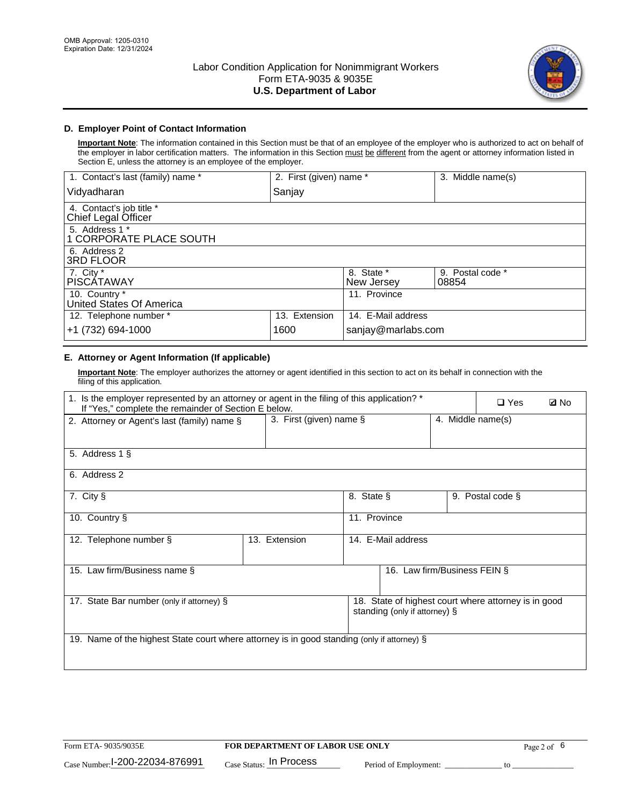

# **D. Employer Point of Contact Information**

**Important Note**: The information contained in this Section must be that of an employee of the employer who is authorized to act on behalf of the employer in labor certification matters. The information in this Section must be different from the agent or attorney information listed in Section E, unless the attorney is an employee of the employer.

| 1. Contact's last (family) name *               | 2. First (given) name * |                          | 3. Middle name(s)         |
|-------------------------------------------------|-------------------------|--------------------------|---------------------------|
| Vidyadharan                                     | Sanjay                  |                          |                           |
| 4. Contact's job title *<br>Chief Legal Officer |                         |                          |                           |
| 5. Address 1 *<br>1 CORPORATE PLACE SOUTH       |                         |                          |                           |
| 6. Address 2<br><b>3RD FLOOR</b>                |                         |                          |                           |
| 7. City *<br><b>PISCÁTAWAY</b>                  |                         | 8. State *<br>New Jersey | 9. Postal code *<br>08854 |
| 10. Country *<br>United States Of America       |                         | 11. Province             |                           |
| 12. Telephone number *                          | 13. Extension           | 14. E-Mail address       |                           |
| +1 (732) 694-1000                               | 1600                    | sanjay@marlabs.com       |                           |

# **E. Attorney or Agent Information (If applicable)**

**Important Note**: The employer authorizes the attorney or agent identified in this section to act on its behalf in connection with the filing of this application.

| 1. Is the employer represented by an attorney or agent in the filing of this application? *<br>If "Yes," complete the remainder of Section E below. |                                                                                       |              |                              |                   | $\Box$ Yes       | <b>Ø</b> No |
|-----------------------------------------------------------------------------------------------------------------------------------------------------|---------------------------------------------------------------------------------------|--------------|------------------------------|-------------------|------------------|-------------|
| 2. Attorney or Agent's last (family) name §                                                                                                         | 3. First (given) name $\S$                                                            |              |                              | 4. Middle name(s) |                  |             |
| 5. Address 1 §                                                                                                                                      |                                                                                       |              |                              |                   |                  |             |
| 6. Address 2                                                                                                                                        |                                                                                       |              |                              |                   |                  |             |
| 7. City §                                                                                                                                           |                                                                                       | 8. State §   |                              |                   | 9. Postal code § |             |
| 10. Country §                                                                                                                                       |                                                                                       | 11. Province |                              |                   |                  |             |
| 12. Telephone number §                                                                                                                              | 13. Extension                                                                         |              | 14. E-Mail address           |                   |                  |             |
| 15. Law firm/Business name §                                                                                                                        |                                                                                       |              | 16. Law firm/Business FEIN § |                   |                  |             |
| 17. State Bar number (only if attorney) §                                                                                                           | 18. State of highest court where attorney is in good<br>standing (only if attorney) § |              |                              |                   |                  |             |
| 19. Name of the highest State court where attorney is in good standing (only if attorney) §                                                         |                                                                                       |              |                              |                   |                  |             |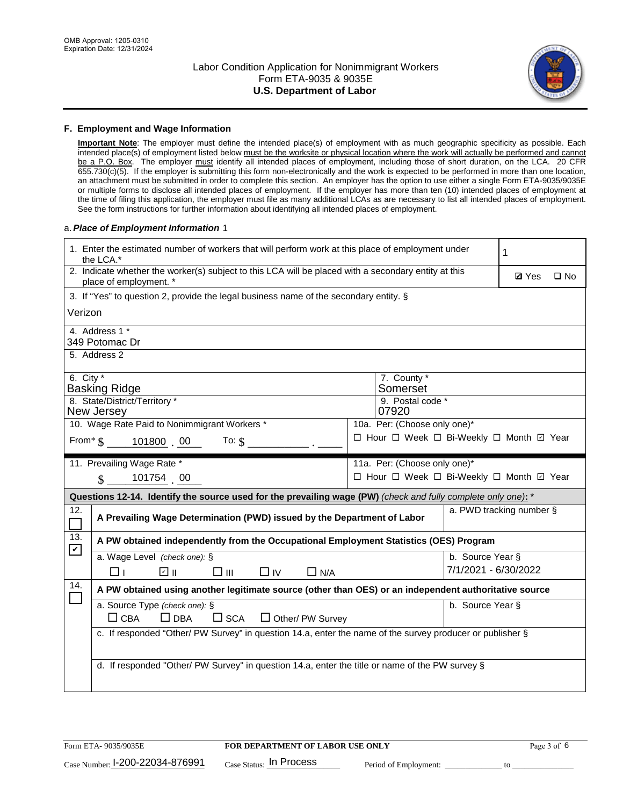

#### **F. Employment and Wage Information**

**Important Note**: The employer must define the intended place(s) of employment with as much geographic specificity as possible. Each intended place(s) of employment listed below must be the worksite or physical location where the work will actually be performed and cannot be a P.O. Box. The employer must identify all intended places of employment, including those of short duration, on the LCA. 20 CFR 655.730(c)(5). If the employer is submitting this form non-electronically and the work is expected to be performed in more than one location, an attachment must be submitted in order to complete this section. An employer has the option to use either a single Form ETA-9035/9035E or multiple forms to disclose all intended places of employment. If the employer has more than ten (10) intended places of employment at the time of filing this application, the employer must file as many additional LCAs as are necessary to list all intended places of employment. See the form instructions for further information about identifying all intended places of employment.

#### a.*Place of Employment Information* 1

|               | 1. Enter the estimated number of workers that will perform work at this place of employment under<br>the LCA.*                 |  |                                          |                          |  |  |  |  |
|---------------|--------------------------------------------------------------------------------------------------------------------------------|--|------------------------------------------|--------------------------|--|--|--|--|
|               | 2. Indicate whether the worker(s) subject to this LCA will be placed with a secondary entity at this<br>place of employment. * |  | <b>Ø</b> Yes                             | $\square$ No             |  |  |  |  |
|               | 3. If "Yes" to question 2, provide the legal business name of the secondary entity. §                                          |  |                                          |                          |  |  |  |  |
| Verizon       |                                                                                                                                |  |                                          |                          |  |  |  |  |
|               | 4. Address 1 *<br>349 Potomac Dr                                                                                               |  |                                          |                          |  |  |  |  |
|               | 5. Address 2                                                                                                                   |  |                                          |                          |  |  |  |  |
| 6. City $*$   | <b>Basking Ridge</b>                                                                                                           |  | 7. County *<br>Somerset                  |                          |  |  |  |  |
|               | 8. State/District/Territory *<br>New Jersey                                                                                    |  | 9. Postal code *<br>07920                |                          |  |  |  |  |
|               | 10. Wage Rate Paid to Nonimmigrant Workers *                                                                                   |  | 10a. Per: (Choose only one)*             |                          |  |  |  |  |
|               | From $\frac{1}{5}$ 101800 00<br>To: $\mathbf{\hat{s}}$                                                                         |  | □ Hour □ Week □ Bi-Weekly □ Month ☑ Year |                          |  |  |  |  |
|               | 11. Prevailing Wage Rate *                                                                                                     |  | 11a. Per: (Choose only one)*             |                          |  |  |  |  |
|               | 101754 00<br>$\mathbf{\$}$                                                                                                     |  | □ Hour □ Week □ Bi-Weekly □ Month 回 Year |                          |  |  |  |  |
|               | Questions 12-14. Identify the source used for the prevailing wage (PW) (check and fully complete only one): *                  |  |                                          |                          |  |  |  |  |
| 12.<br>$\Box$ | A Prevailing Wage Determination (PWD) issued by the Department of Labor                                                        |  |                                          | a. PWD tracking number § |  |  |  |  |
| 13.           | A PW obtained independently from the Occupational Employment Statistics (OES) Program                                          |  |                                          |                          |  |  |  |  |
| $\mathbf v$   | a. Wage Level (check one): §                                                                                                   |  |                                          | b. Source Year §         |  |  |  |  |
|               | பெ<br>$\square$ $\square$<br>⊓⊥<br>$\Box$ IV<br>$\Box$ N/A                                                                     |  |                                          | 7/1/2021 - 6/30/2022     |  |  |  |  |
| 14.           | A PW obtained using another legitimate source (other than OES) or an independent authoritative source                          |  |                                          |                          |  |  |  |  |
|               | a. Source Type (check one): §<br>b. Source Year §<br>$\Box$ CBA<br>$\Box$ DBA<br>$\square$ SCA<br>$\Box$ Other/ PW Survey      |  |                                          |                          |  |  |  |  |
|               | c. If responded "Other/ PW Survey" in question 14.a, enter the name of the survey producer or publisher §                      |  |                                          |                          |  |  |  |  |
|               | d. If responded "Other/ PW Survey" in question 14.a, enter the title or name of the PW survey §                                |  |                                          |                          |  |  |  |  |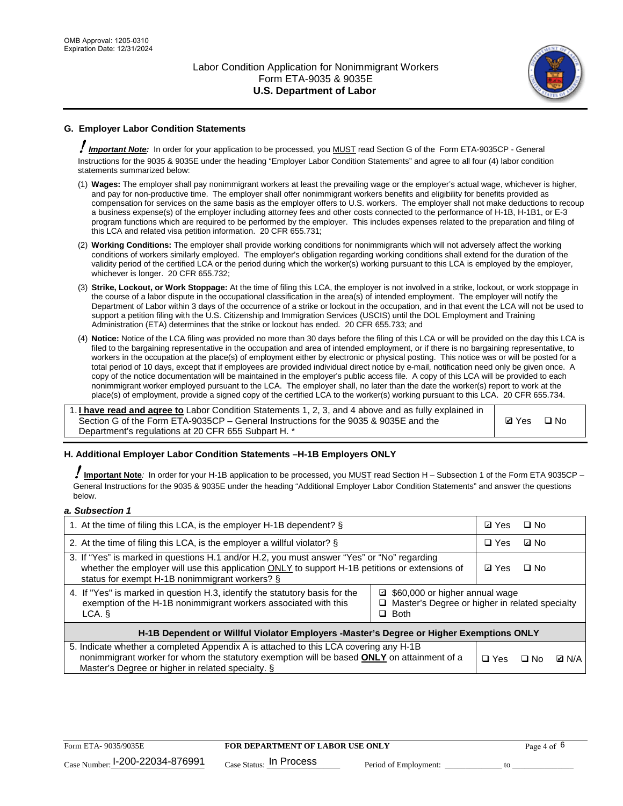

# **G. Employer Labor Condition Statements**

! *Important Note:* In order for your application to be processed, you MUST read Section G of the Form ETA-9035CP - General Instructions for the 9035 & 9035E under the heading "Employer Labor Condition Statements" and agree to all four (4) labor condition statements summarized below:

- (1) **Wages:** The employer shall pay nonimmigrant workers at least the prevailing wage or the employer's actual wage, whichever is higher, and pay for non-productive time. The employer shall offer nonimmigrant workers benefits and eligibility for benefits provided as compensation for services on the same basis as the employer offers to U.S. workers. The employer shall not make deductions to recoup a business expense(s) of the employer including attorney fees and other costs connected to the performance of H-1B, H-1B1, or E-3 program functions which are required to be performed by the employer. This includes expenses related to the preparation and filing of this LCA and related visa petition information. 20 CFR 655.731;
- (2) **Working Conditions:** The employer shall provide working conditions for nonimmigrants which will not adversely affect the working conditions of workers similarly employed. The employer's obligation regarding working conditions shall extend for the duration of the validity period of the certified LCA or the period during which the worker(s) working pursuant to this LCA is employed by the employer, whichever is longer. 20 CFR 655.732;
- (3) **Strike, Lockout, or Work Stoppage:** At the time of filing this LCA, the employer is not involved in a strike, lockout, or work stoppage in the course of a labor dispute in the occupational classification in the area(s) of intended employment. The employer will notify the Department of Labor within 3 days of the occurrence of a strike or lockout in the occupation, and in that event the LCA will not be used to support a petition filing with the U.S. Citizenship and Immigration Services (USCIS) until the DOL Employment and Training Administration (ETA) determines that the strike or lockout has ended. 20 CFR 655.733; and
- (4) **Notice:** Notice of the LCA filing was provided no more than 30 days before the filing of this LCA or will be provided on the day this LCA is filed to the bargaining representative in the occupation and area of intended employment, or if there is no bargaining representative, to workers in the occupation at the place(s) of employment either by electronic or physical posting. This notice was or will be posted for a total period of 10 days, except that if employees are provided individual direct notice by e-mail, notification need only be given once. A copy of the notice documentation will be maintained in the employer's public access file. A copy of this LCA will be provided to each nonimmigrant worker employed pursuant to the LCA. The employer shall, no later than the date the worker(s) report to work at the place(s) of employment, provide a signed copy of the certified LCA to the worker(s) working pursuant to this LCA. 20 CFR 655.734.

1. **I have read and agree to** Labor Condition Statements 1, 2, 3, and 4 above and as fully explained in Section G of the Form ETA-9035CP – General Instructions for the 9035 & 9035E and the Department's regulations at 20 CFR 655 Subpart H. \*

**Ø**Yes ロNo

### **H. Additional Employer Labor Condition Statements –H-1B Employers ONLY**

!**Important Note***:* In order for your H-1B application to be processed, you MUST read Section H – Subsection 1 of the Form ETA 9035CP – General Instructions for the 9035 & 9035E under the heading "Additional Employer Labor Condition Statements" and answer the questions below.

#### *a. Subsection 1*

| 1. At the time of filing this LCA, is the employer H-1B dependent? §                                                                                                                                                                                            |            |      | $\square$ No |  |  |
|-----------------------------------------------------------------------------------------------------------------------------------------------------------------------------------------------------------------------------------------------------------------|------------|------|--------------|--|--|
| 2. At the time of filing this LCA, is the employer a willful violator? $\S$                                                                                                                                                                                     |            |      | ⊡ No         |  |  |
| 3. If "Yes" is marked in questions H.1 and/or H.2, you must answer "Yes" or "No" regarding<br>whether the employer will use this application ONLY to support H-1B petitions or extensions of<br>status for exempt H-1B nonimmigrant workers? §                  |            |      | $\Box$ No    |  |  |
| 4. If "Yes" is marked in question H.3, identify the statutory basis for the<br>■ \$60,000 or higher annual wage<br>exemption of the H-1B nonimmigrant workers associated with this<br>□ Master's Degree or higher in related specialty<br>$\Box$ Both<br>LCA. § |            |      |              |  |  |
| H-1B Dependent or Willful Violator Employers -Master's Degree or Higher Exemptions ONLY                                                                                                                                                                         |            |      |              |  |  |
| 5. Indicate whether a completed Appendix A is attached to this LCA covering any H-1B<br>nonimmigrant worker for whom the statutory exemption will be based <b>ONLY</b> on attainment of a<br>Master's Degree or higher in related specialty. §                  | $\Box$ Yes | ⊡ No | <b>Q</b> N/A |  |  |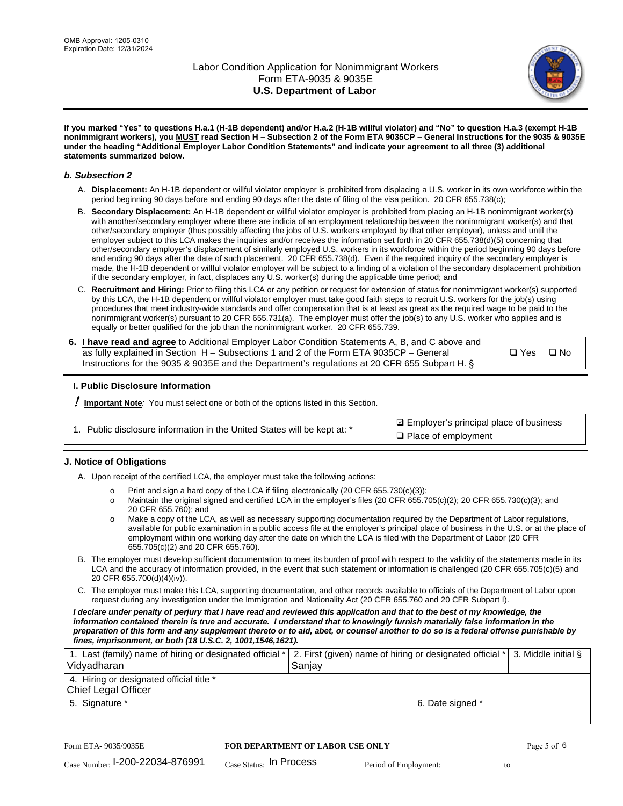

**If you marked "Yes" to questions H.a.1 (H-1B dependent) and/or H.a.2 (H-1B willful violator) and "No" to question H.a.3 (exempt H-1B nonimmigrant workers), you MUST read Section H – Subsection 2 of the Form ETA 9035CP – General Instructions for the 9035 & 9035E under the heading "Additional Employer Labor Condition Statements" and indicate your agreement to all three (3) additional statements summarized below.**

#### *b. Subsection 2*

- A. **Displacement:** An H-1B dependent or willful violator employer is prohibited from displacing a U.S. worker in its own workforce within the period beginning 90 days before and ending 90 days after the date of filing of the visa petition. 20 CFR 655.738(c);
- B. **Secondary Displacement:** An H-1B dependent or willful violator employer is prohibited from placing an H-1B nonimmigrant worker(s) with another/secondary employer where there are indicia of an employment relationship between the nonimmigrant worker(s) and that other/secondary employer (thus possibly affecting the jobs of U.S. workers employed by that other employer), unless and until the employer subject to this LCA makes the inquiries and/or receives the information set forth in 20 CFR 655.738(d)(5) concerning that other/secondary employer's displacement of similarly employed U.S. workers in its workforce within the period beginning 90 days before and ending 90 days after the date of such placement. 20 CFR 655.738(d). Even if the required inquiry of the secondary employer is made, the H-1B dependent or willful violator employer will be subject to a finding of a violation of the secondary displacement prohibition if the secondary employer, in fact, displaces any U.S. worker(s) during the applicable time period; and
- C. **Recruitment and Hiring:** Prior to filing this LCA or any petition or request for extension of status for nonimmigrant worker(s) supported by this LCA, the H-1B dependent or willful violator employer must take good faith steps to recruit U.S. workers for the job(s) using procedures that meet industry-wide standards and offer compensation that is at least as great as the required wage to be paid to the nonimmigrant worker(s) pursuant to 20 CFR 655.731(a). The employer must offer the job(s) to any U.S. worker who applies and is equally or better qualified for the job than the nonimmigrant worker. 20 CFR 655.739.

| 6. I have read and agree to Additional Employer Labor Condition Statements A, B, and C above and |               |           |
|--------------------------------------------------------------------------------------------------|---------------|-----------|
| as fully explained in Section H – Subsections 1 and 2 of the Form ETA 9035CP – General           | $\square$ Yes | $\Box$ No |
| Instructions for the 9035 & 9035 E and the Department's regulations at 20 CFR 655 Subpart H. §   |               |           |

### **I. Public Disclosure Information**

! **Important Note***:* You must select one or both of the options listed in this Section.

**sqrt** Employer's principal place of business □ Place of employment

### **J. Notice of Obligations**

A. Upon receipt of the certified LCA, the employer must take the following actions:

- o Print and sign a hard copy of the LCA if filing electronically (20 CFR 655.730(c)(3));<br>
Maintain the original signed and certified LCA in the employer's files (20 CFR 655.7
- Maintain the original signed and certified LCA in the employer's files (20 CFR 655.705(c)(2); 20 CFR 655.730(c)(3); and 20 CFR 655.760); and
- o Make a copy of the LCA, as well as necessary supporting documentation required by the Department of Labor regulations, available for public examination in a public access file at the employer's principal place of business in the U.S. or at the place of employment within one working day after the date on which the LCA is filed with the Department of Labor (20 CFR 655.705(c)(2) and 20 CFR 655.760).
- B. The employer must develop sufficient documentation to meet its burden of proof with respect to the validity of the statements made in its LCA and the accuracy of information provided, in the event that such statement or information is challenged (20 CFR 655.705(c)(5) and 20 CFR 655.700(d)(4)(iv)).
- C. The employer must make this LCA, supporting documentation, and other records available to officials of the Department of Labor upon request during any investigation under the Immigration and Nationality Act (20 CFR 655.760 and 20 CFR Subpart I).

*I declare under penalty of perjury that I have read and reviewed this application and that to the best of my knowledge, the*  information contained therein is true and accurate. I understand that to knowingly furnish materially false information in the *preparation of this form and any supplement thereto or to aid, abet, or counsel another to do so is a federal offense punishable by fines, imprisonment, or both (18 U.S.C. 2, 1001,1546,1621).*

| 1. Last (family) name of hiring or designated official *   2. First (given) name of hiring or designated official *   3. Middle initial §<br>Vidyadharan | Saniav           |  |
|----------------------------------------------------------------------------------------------------------------------------------------------------------|------------------|--|
| 4. Hiring or designated official title *<br>Chief Legal Officer                                                                                          |                  |  |
| 5. Signature *                                                                                                                                           | 6. Date signed * |  |

| Form ETA-9035/9035E                         | <b>FOR DEPARTMENT OF LABOR USE ONLY</b> |                       |  |
|---------------------------------------------|-----------------------------------------|-----------------------|--|
| $_{\text{Case Number:}}$ I-200-22034-876991 | $_{\text{Case Status:}}$ In Process     | Period of Employment: |  |